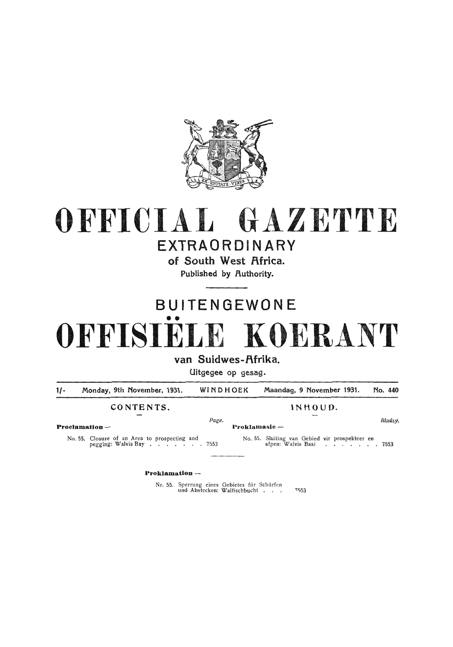

## OFFICIAL GAZETTE EXTRAORDINARY

## of South West Africa.

Published by Authority.

# BUITENGEWONE •• **OFFISIELE KOERANT**

van Suidwes-Afrika.

Uitgegee op gesag.

1/- Monday, 9th November, 1931. WINDHOEK Maandag, 9 November 1931. No. 440

### CONTENTS. INHOUD.

Page. **Blads**yi **Blads**yi

**Proclamation** - **Proklamasie** -

No. 55. Closure of an Area to prospecting and No. 55. Sluiting van Gebied vir prospekteer en pegging: Walvis Bay . . . . . . 7553 afpen: Walvis Baai . . . . . . . . 7553

**Proklamation** -

Nr. 55. Sperrung eines Gebietes für Schürfen und Abstecken: Walfischbucht . . .  $7553$